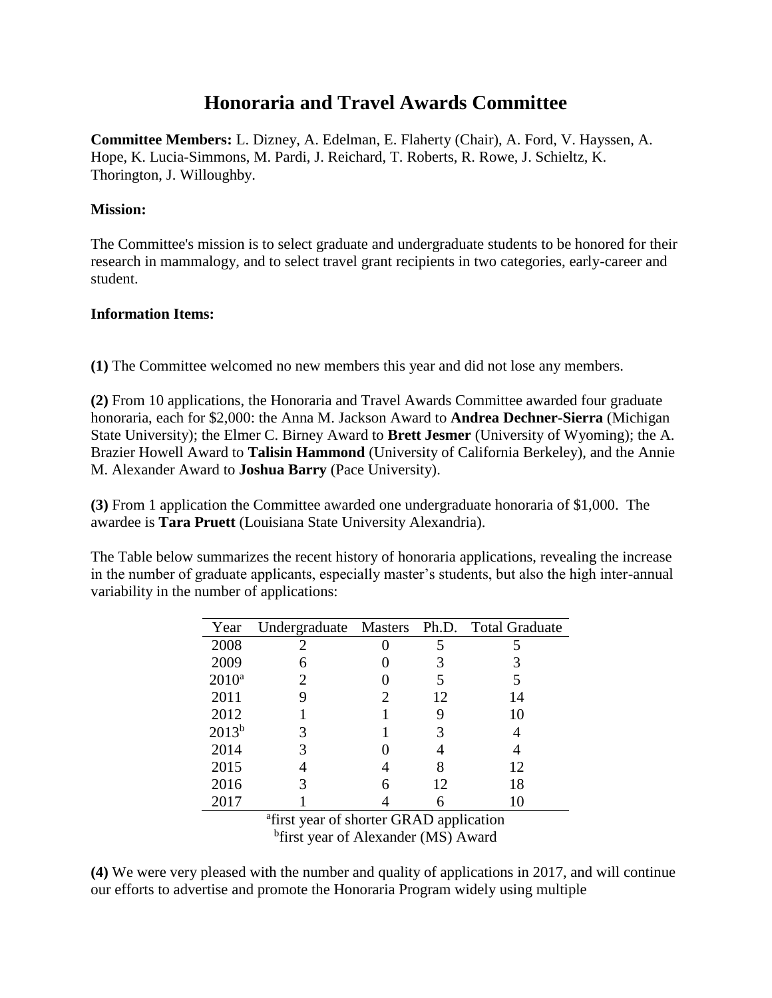# **Honoraria and Travel Awards Committee**

**Committee Members:** L. Dizney, A. Edelman, E. Flaherty (Chair), A. Ford, V. Hayssen, A. Hope, K. Lucia-Simmons, M. Pardi, J. Reichard, T. Roberts, R. Rowe, J. Schieltz, K. Thorington, J. Willoughby.

## **Mission:**

The Committee's mission is to select graduate and undergraduate students to be honored for their research in mammalogy, and to select travel grant recipients in two categories, early-career and student.

#### **Information Items:**

**(1)** The Committee welcomed no new members this year and did not lose any members.

**(2)** From 10 applications, the Honoraria and Travel Awards Committee awarded four graduate honoraria, each for \$2,000: the Anna M. Jackson Award to **Andrea Dechner-Sierra** (Michigan State University); the Elmer C. Birney Award to **Brett Jesmer** (University of Wyoming); the A. Brazier Howell Award to **Talisin Hammond** (University of California Berkeley), and the Annie M. Alexander Award to **Joshua Barry** (Pace University).

**(3)** From 1 application the Committee awarded one undergraduate honoraria of \$1,000. The awardee is **Tara Pruett** (Louisiana State University Alexandria).

The Table below summarizes the recent history of honoraria applications, revealing the increase in the number of graduate applicants, especially master's students, but also the high inter-annual variability in the number of applications:

| Year       |   |    | Undergraduate Masters Ph.D. Total Graduate |
|------------|---|----|--------------------------------------------|
| 2008       |   |    | 5                                          |
| 2009       |   |    |                                            |
| $2010^a$   | 2 |    |                                            |
| 2011       |   | 12 | 14                                         |
| 2012       |   |    | 10                                         |
| $2013^{b}$ |   |    |                                            |
| 2014       |   |    |                                            |
| 2015       |   |    | 12                                         |
| 2016       |   | 12 | 18                                         |
| 2017       |   |    | 10                                         |

<sup>a</sup>first year of shorter GRAD application <sup>b</sup>first year of Alexander (MS) Award

**(4)** We were very pleased with the number and quality of applications in 2017, and will continue our efforts to advertise and promote the Honoraria Program widely using multiple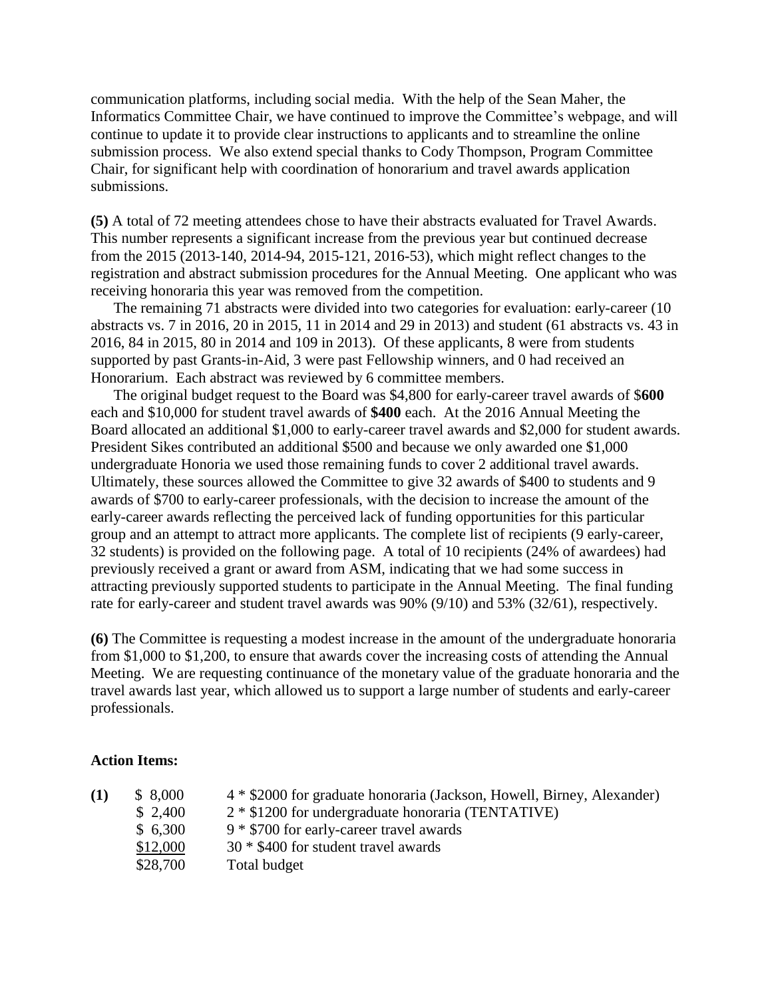communication platforms, including social media. With the help of the Sean Maher, the Informatics Committee Chair, we have continued to improve the Committee's webpage, and will continue to update it to provide clear instructions to applicants and to streamline the online submission process. We also extend special thanks to Cody Thompson, Program Committee Chair, for significant help with coordination of honorarium and travel awards application submissions.

**(5)** A total of 72 meeting attendees chose to have their abstracts evaluated for Travel Awards. This number represents a significant increase from the previous year but continued decrease from the 2015 (2013-140, 2014-94, 2015-121, 2016-53), which might reflect changes to the registration and abstract submission procedures for the Annual Meeting. One applicant who was receiving honoraria this year was removed from the competition.

The remaining 71 abstracts were divided into two categories for evaluation: early-career (10 abstracts vs. 7 in 2016, 20 in 2015, 11 in 2014 and 29 in 2013) and student (61 abstracts vs. 43 in 2016, 84 in 2015, 80 in 2014 and 109 in 2013). Of these applicants, 8 were from students supported by past Grants-in-Aid, 3 were past Fellowship winners, and 0 had received an Honorarium. Each abstract was reviewed by 6 committee members.

The original budget request to the Board was \$4,800 for early-career travel awards of \$**600** each and \$10,000 for student travel awards of **\$400** each. At the 2016 Annual Meeting the Board allocated an additional \$1,000 to early-career travel awards and \$2,000 for student awards. President Sikes contributed an additional \$500 and because we only awarded one \$1,000 undergraduate Honoria we used those remaining funds to cover 2 additional travel awards. Ultimately, these sources allowed the Committee to give 32 awards of \$400 to students and 9 awards of \$700 to early-career professionals, with the decision to increase the amount of the early-career awards reflecting the perceived lack of funding opportunities for this particular group and an attempt to attract more applicants. The complete list of recipients (9 early-career, 32 students) is provided on the following page. A total of 10 recipients (24% of awardees) had previously received a grant or award from ASM, indicating that we had some success in attracting previously supported students to participate in the Annual Meeting. The final funding rate for early-career and student travel awards was 90% (9/10) and 53% (32/61), respectively.

**(6)** The Committee is requesting a modest increase in the amount of the undergraduate honoraria from \$1,000 to \$1,200, to ensure that awards cover the increasing costs of attending the Annual Meeting. We are requesting continuance of the monetary value of the graduate honoraria and the travel awards last year, which allowed us to support a large number of students and early-career professionals.

#### **Action Items:**

| \$8,000  | 4 * \$2000 for graduate honoraria (Jackson, Howell, Birney, Alexander) |
|----------|------------------------------------------------------------------------|
| \$2,400  | $2 * $1200$ for undergraduate honoraria (TENTATIVE)                    |
| \$6,300  | $9 * $700$ for early-career travel awards                              |
| \$12,000 | 30 * \$400 for student travel awards                                   |
| \$28,700 | Total budget                                                           |
|          |                                                                        |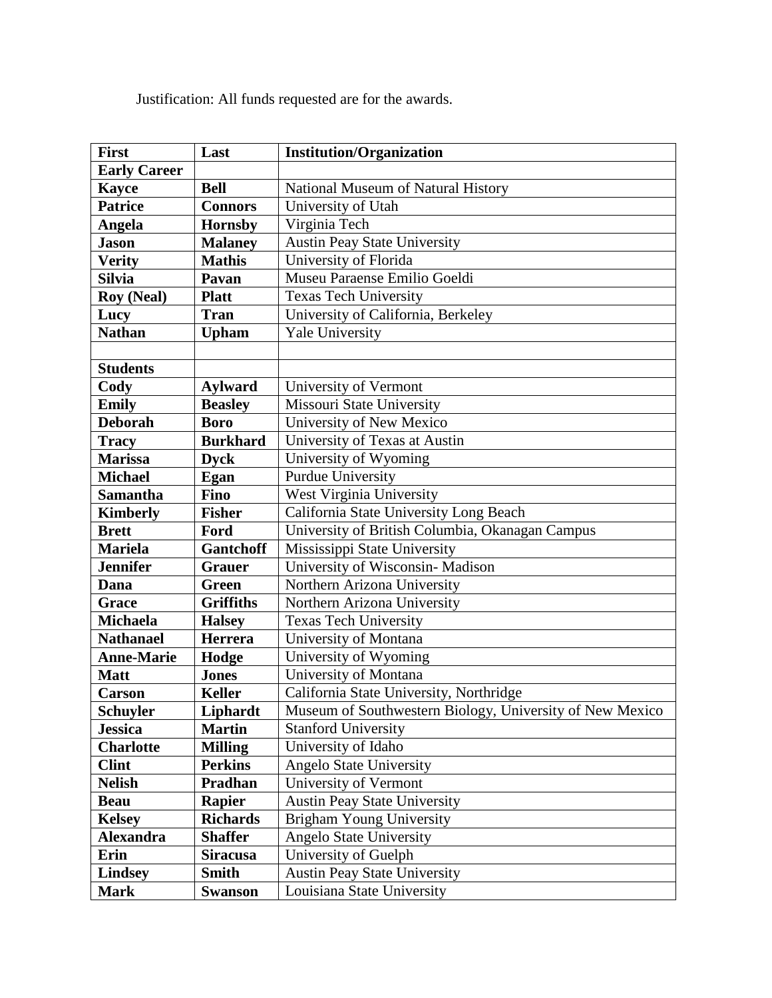Justification: All funds requested are for the awards.

| <b>First</b>        | Last             | <b>Institution/Organization</b>                          |
|---------------------|------------------|----------------------------------------------------------|
| <b>Early Career</b> |                  |                                                          |
| <b>Kayce</b>        | <b>Bell</b>      | National Museum of Natural History                       |
| <b>Patrice</b>      | <b>Connors</b>   | University of Utah                                       |
| Angela              | <b>Hornsby</b>   | Virginia Tech                                            |
| <b>Jason</b>        | <b>Malaney</b>   | <b>Austin Peay State University</b>                      |
| <b>Verity</b>       | <b>Mathis</b>    | University of Florida                                    |
| <b>Silvia</b>       | Pavan            | Museu Paraense Emilio Goeldi                             |
| <b>Roy (Neal)</b>   | <b>Platt</b>     | <b>Texas Tech University</b>                             |
| Lucy                | <b>Tran</b>      | University of California, Berkeley                       |
| <b>Nathan</b>       | <b>Upham</b>     | <b>Yale University</b>                                   |
|                     |                  |                                                          |
| <b>Students</b>     |                  |                                                          |
| Cody                | <b>Aylward</b>   | University of Vermont                                    |
| <b>Emily</b>        | <b>Beasley</b>   | Missouri State University                                |
| <b>Deborah</b>      | <b>Boro</b>      | University of New Mexico                                 |
| <b>Tracy</b>        | <b>Burkhard</b>  | University of Texas at Austin                            |
| <b>Marissa</b>      | <b>Dyck</b>      | University of Wyoming                                    |
| <b>Michael</b>      | Egan             | <b>Purdue University</b>                                 |
| <b>Samantha</b>     | <b>Fino</b>      | West Virginia University                                 |
| <b>Kimberly</b>     | <b>Fisher</b>    | California State University Long Beach                   |
| <b>Brett</b>        | Ford             | University of British Columbia, Okanagan Campus          |
| <b>Mariela</b>      | Gantchoff        | Mississippi State University                             |
| <b>Jennifer</b>     | <b>Grauer</b>    | University of Wisconsin- Madison                         |
| Dana                | <b>Green</b>     | Northern Arizona University                              |
| Grace               | <b>Griffiths</b> | Northern Arizona University                              |
| <b>Michaela</b>     | <b>Halsey</b>    | <b>Texas Tech University</b>                             |
| <b>Nathanael</b>    | <b>Herrera</b>   | University of Montana                                    |
| <b>Anne-Marie</b>   | Hodge            | University of Wyoming                                    |
| <b>Matt</b>         | <b>Jones</b>     | University of Montana                                    |
| <b>Carson</b>       | <b>Keller</b>    | California State University, Northridge                  |
| <b>Schuyler</b>     | Liphardt         | Museum of Southwestern Biology, University of New Mexico |
| <b>Jessica</b>      | <b>Martin</b>    | <b>Stanford University</b>                               |
|                     |                  | University of Idaho                                      |
| <b>Charlotte</b>    | <b>Milling</b>   |                                                          |
| <b>Clint</b>        | <b>Perkins</b>   | Angelo State University                                  |
| <b>Nelish</b>       | <b>Pradhan</b>   | University of Vermont                                    |
| <b>Beau</b>         | <b>Rapier</b>    | <b>Austin Peay State University</b>                      |
| <b>Kelsey</b>       | <b>Richards</b>  | <b>Brigham Young University</b>                          |
| <b>Alexandra</b>    | <b>Shaffer</b>   | <b>Angelo State University</b>                           |
| Erin                | <b>Siracusa</b>  | University of Guelph                                     |
| <b>Lindsey</b>      | <b>Smith</b>     | <b>Austin Peay State University</b>                      |
| <b>Mark</b>         | <b>Swanson</b>   | Louisiana State University                               |